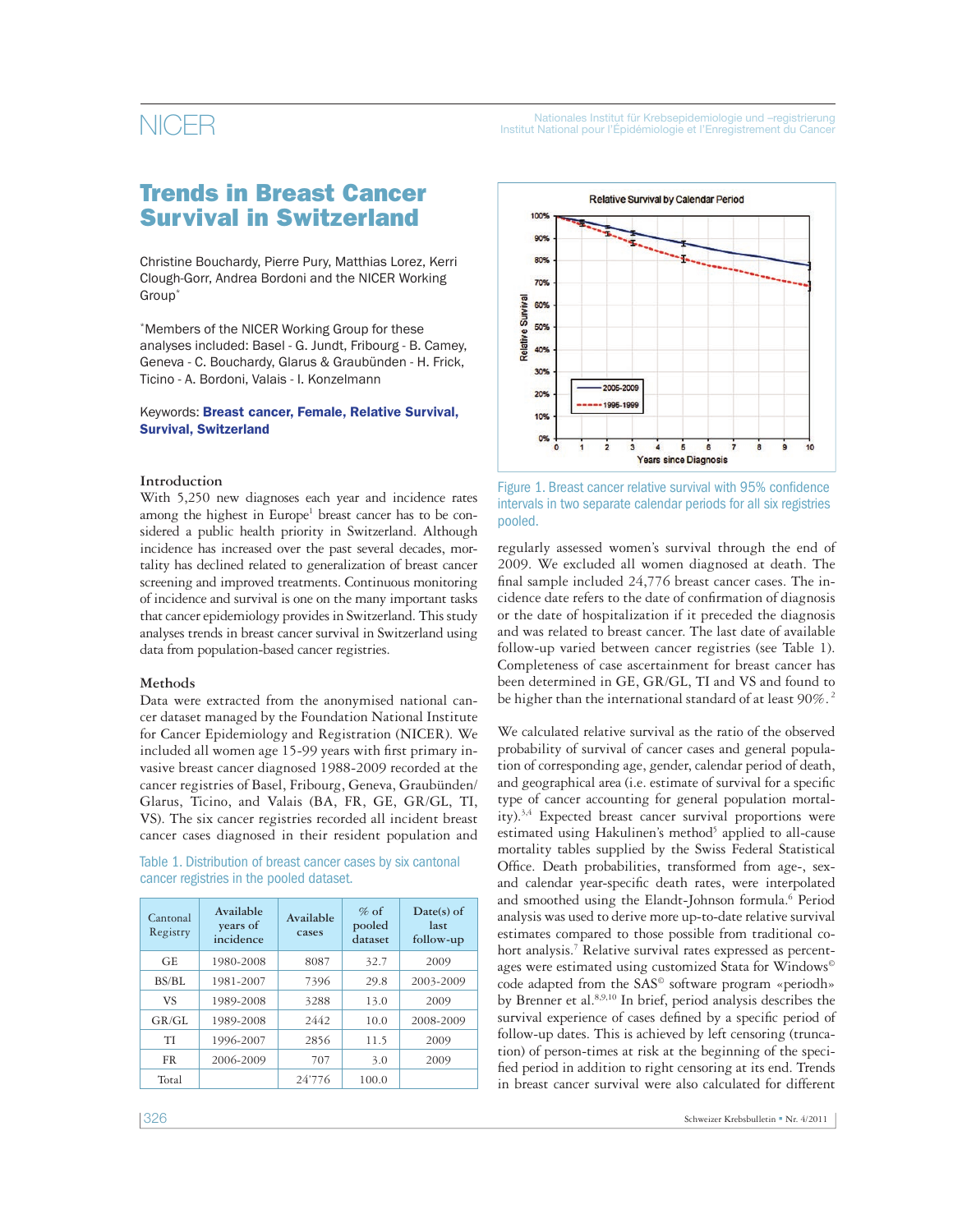## **Trends in Breast Cancer Survival in Switzerland**

Christine Bouchardy, Pierre Pury, Matthias Lorez, Kerri Clough-Gorr, Andrea Bordoni and the NICER Working Group\*

\*Members of the NICER Working Group for these analyses included: Basel - G. Jundt, Fribourg - B. Camey, Geneva - C. Bouchardy, Glarus & Graubünden - H. Frick, Ticino - A. Bordoni, Valais - I. Konzelmann

### Keywords: **Breast cancer, Female, Relative Survival, Survival, Switzerland**

### **Introduction**

With 5,250 new diagnoses each year and incidence rates among the highest in Europe<sup>1</sup> breast cancer has to be considered a public health priority in Switzerland. Although incidence has increased over the past several decades, mortality has declined related to generalization of breast cancer screening and improved treatments. Continuous monitoring of incidence and survival is one on the many important tasks that cancer epidemiology provides in Switzerland. This study analyses trends in breast cancer survival in Switzerland using data from population-based cancer registries.

## **Methods**

Data were extracted from the anonymised national cancer dataset managed by the Foundation National Institute for Cancer Epidemiology and Registration (NICER). We included all women age 15-99 years with first primary invasive breast cancer diagnosed 1988-2009 recorded at the cancer registries of Basel, Fribourg, Geneva, Graubünden/ Glarus, Ticino, and Valais (BA, FR, GE, GR/GL, TI, VS). The six cancer registries recorded all incident breast cancer cases diagnosed in their resident population and

Table 1. Distribution of breast cancer cases by six cantonal cancer registries in the pooled dataset.

| Cantonal<br>Registry | Available<br>years of<br>incidence | Available<br>cases | $\%$ of<br>pooled<br>dataset | Date(s) of<br>last<br>follow-up |
|----------------------|------------------------------------|--------------------|------------------------------|---------------------------------|
| <b>GE</b>            | 1980-2008                          | 8087               | 32.7                         | 2009                            |
| BS/BL                | 1981-2007                          | 7396               | 29.8                         | 2003-2009                       |
| VS                   | 1989-2008                          | 3288               | 13.0                         | 2009                            |
| GR/GL                | 1989-2008                          | 2442               | 10.0                         | 2008-2009                       |
| ТI                   | 1996-2007                          | 2856               | 11.5                         | 2009                            |
| <b>FR</b>            | 2006-2009                          | 707                | 3.0                          | 2009                            |
| Total                |                                    | 24'776             | 100.0                        |                                 |



Figure 1. Breast cancer relative survival with 95% confidence intervals in two separate calendar periods for all six registries pooled.

regularly assessed women's survival through the end of 2009. We excluded all women diagnosed at death. The final sample included  $24,776$  breast cancer cases. The incidence date refers to the date of confirmation of diagnosis or the date of hospitalization if it preceded the diagnosis and was related to breast cancer. The last date of available follow-up varied between cancer registries (see Table 1). Completeness of case ascertainment for breast cancer has been determined in GE, GR/GL, TI and VS and found to be higher than the international standard of at least 90%.<sup>2</sup>

We calculated relative survival as the ratio of the observed probability of survival of cancer cases and general population of corresponding age, gender, calendar period of death, and geographical area (i.e. estimate of survival for a specific type of cancer accounting for general population mortality).<sup>3,4</sup> Expected breast cancer survival proportions were estimated using Hakulinen's method<sup>5</sup> applied to all-cause mortality tables supplied by the Swiss Federal Statistical Office. Death probabilities, transformed from age-, sexand calendar year-specific death rates, were interpolated and smoothed using the Elandt-Johnson formula.<sup>6</sup> Period analysis was used to derive more up-to-date relative survival estimates compared to those possible from traditional cohort analysis.<sup>7</sup> Relative survival rates expressed as percentages were estimated using customized Stata for Windows© code adapted from the SAS<sup>®</sup> software program «periodh» by Brenner et al.8,9,10 In brief, period analysis describes the survival experience of cases defined by a specific period of follow-up dates. This is achieved by left censoring (truncation) of person-times at risk at the beginning of the specified period in addition to right censoring at its end. Trends in breast cancer survival were also calculated for different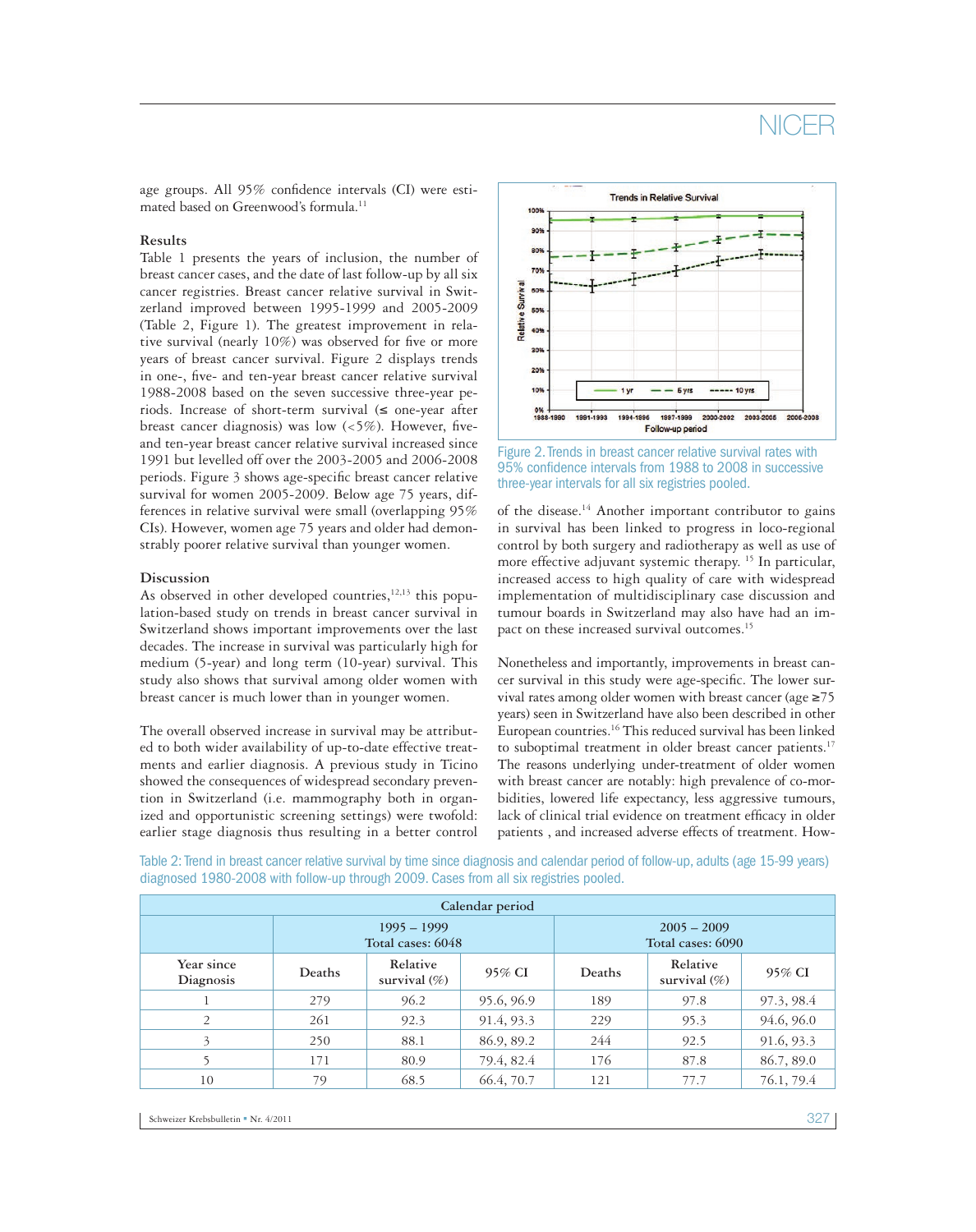# NICE

age groups. All 95% confidence intervals (CI) were estimated based on Greenwood's formula.<sup>11</sup>

#### **Results**

Table 1 presents the years of inclusion, the number of breast cancer cases, and the date of last follow-up by all six cancer registries. Breast cancer relative survival in Switzerland improved between 1995-1999 and 2005-2009 (Table 2, Figure 1). The greatest improvement in relative survival (nearly  $10\%$ ) was observed for five or more years of breast cancer survival. Figure 2 displays trends in one-, five- and ten-year breast cancer relative survival 1988-2008 based on the seven successive three-year periods. Increase of short-term survival  $(\leq)$  one-year after breast cancer diagnosis) was low  $\langle$ <5%). However, fiveand ten-year breast cancer relative survival increased since 1991 but levelled off over the 2003-2005 and 2006-2008 periods. Figure 3 shows age-specific breast cancer relative survival for women 2005-2009. Below age 75 years, differences in relative survival were small (overlapping 95% CIs). However, women age 75 years and older had demonstrably poorer relative survival than younger women.

#### **Discussion**

As observed in other developed countries,  $12,13$  this population-based study on trends in breast cancer survival in Switzerland shows important improvements over the last decades. The increase in survival was particularly high for medium (5-year) and long term (10-year) survival. This study also shows that survival among older women with breast cancer is much lower than in younger women.

The overall observed increase in survival may be attributed to both wider availability of up-to-date effective treatments and earlier diagnosis. A previous study in Ticino showed the consequences of widespread secondary prevention in Switzerland (i.e. mammography both in organized and opportunistic screening settings) were twofold: earlier stage diagnosis thus resulting in a better control



Figure 2. Trends in breast cancer relative survival rates with 95% confidence intervals from 1988 to 2008 in successive three-year intervals for all six registries pooled.

of the disease.14 Another important contributor to gains in survival has been linked to progress in loco-regional control by both surgery and radiotherapy as well as use of more effective adjuvant systemic therapy.<sup>15</sup> In particular, increased access to high quality of care with widespread implementation of multidisciplinary case discussion and tumour boards in Switzerland may also have had an impact on these increased survival outcomes.<sup>15</sup>

Nonetheless and importantly, improvements in breast cancer survival in this study were age-specific. The lower survival rates among older women with breast cancer (age ≥75 years) seen in Switzerland have also been described in other European countries.16 This reduced survival has been linked to suboptimal treatment in older breast cancer patients.<sup>17</sup> The reasons underlying under-treatment of older women with breast cancer are notably: high prevalence of co-morbidities, lowered life expectancy, less aggressive tumours, lack of clinical trial evidence on treatment efficacy in older patients , and increased adverse effects of treatment. How-

Table 2: Trend in breast cancer relative survival by time since diagnosis and calendar period of follow-up, adults (age 15-99 years) diagnosed 1980-2008 with follow-up through 2009. Cases from all six registries pooled.

| Calendar period         |                                    |                              |            |                                    |                             |            |  |  |  |
|-------------------------|------------------------------------|------------------------------|------------|------------------------------------|-----------------------------|------------|--|--|--|
|                         | $1995 - 1999$<br>Total cases: 6048 |                              |            | $2005 - 2009$<br>Total cases: 6090 |                             |            |  |  |  |
| Year since<br>Diagnosis | <b>Deaths</b>                      | Relative<br>survival $(\% )$ | 95% CI     | Deaths                             | Relative<br>survival $(\%)$ | 95% CI     |  |  |  |
|                         | 279                                | 96.2                         | 95.6, 96.9 | 189                                | 97.8                        | 97.3, 98.4 |  |  |  |
| 2                       | 261                                | 92.3                         | 91.4, 93.3 | 229                                | 95.3                        | 94.6, 96.0 |  |  |  |
| 3                       | 250                                | 88.1                         | 86.9, 89.2 | 244                                | 92.5                        | 91.6, 93.3 |  |  |  |
|                         | 171                                | 80.9                         | 79.4, 82.4 | 176                                | 87.8                        | 86.7, 89.0 |  |  |  |
| 10                      | 79                                 | 68.5                         | 66.4, 70.7 | 121                                | 77.7                        | 76.1, 79.4 |  |  |  |